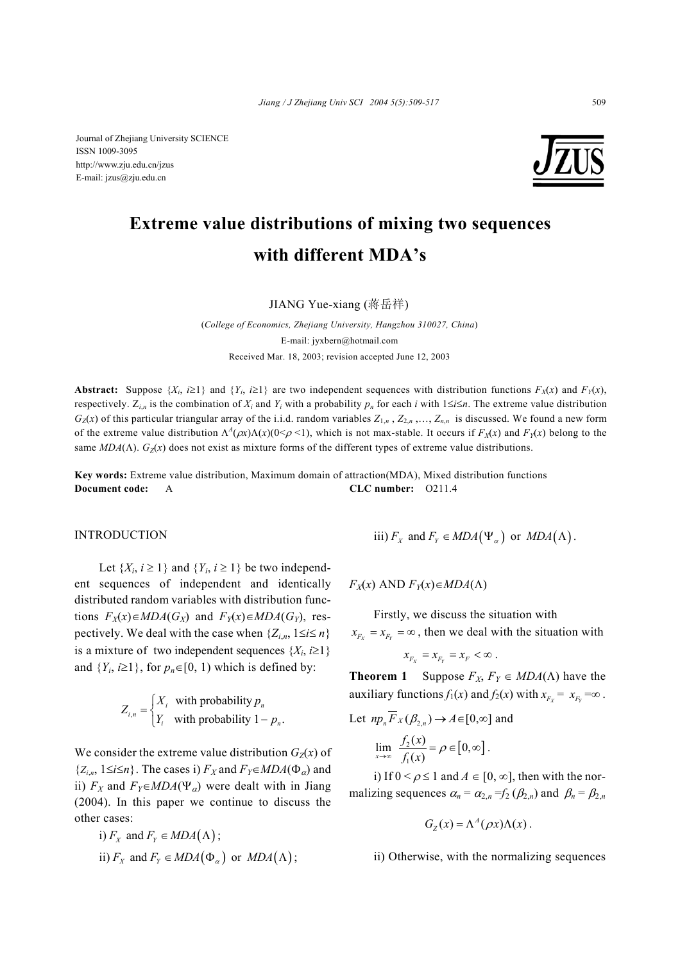Journal of Zhejiang University SCIENCE ISSN 1009-3095 http://www.zju.edu.cn/jzus E-mail: jzus@zju.edu.cn



# **Extreme value distributions of mixing two sequences with different MDA's**

JIANG Yue-xiang (蒋岳祥)

(*College of Economics, Zhejiang University, Hangzhou 310027, China*) E-mail: jyxbern@hotmail.com Received Mar. 18, 2003; revision accepted June 12, 2003

**Abstract:** Suppose  $\{X_i, i \geq 1\}$  and  $\{Y_i, i \geq 1\}$  are two independent sequences with distribution functions  $F_X(x)$  and  $F_Y(x)$ , respectively.  $Z_{i,n}$  is the combination of  $X_i$  and  $Y_i$  with a probability  $p_n$  for each *i* with  $1 \le i \le n$ . The extreme value distribution  $G_Z(x)$  of this particular triangular array of the i.i.d. random variables  $Z_{1,n}$ ,  $Z_{2,n}$ ,...,  $Z_{n,n}$  is discussed. We found a new form of the extreme value distribution  $\Lambda^A(\rho x)\Lambda(x)(0<\rho<1)$ , which is not max-stable. It occurs if  $F_X(x)$  and  $F_Y(x)$  belong to the same  $MDA(\Lambda)$ .  $G_Z(x)$  does not exist as mixture forms of the different types of extreme value distributions.

**Key words:** Extreme value distribution, Maximum domain of attraction(MDA), Mixed distribution functions **Document code:** A **CLC number:** O211.4

#### INTRODUCTION

Let  $\{X_i, i \geq 1\}$  and  $\{Y_i, i \geq 1\}$  be two independent sequences of independent and identically distributed random variables with distribution functions  $F_X(x) ∈ MDA(G_X)$  and  $F_Y(x) ∈ MDA(G_Y)$ , respectively. We deal with the case when  $\{Z_i, i, 1 \le i \le n\}$ is a mixture of two independent sequences  $\{X_i, i \geq 1\}$ and  $\{Y_i, i \geq 1\}$ , for  $p_n \in [0, 1)$  which is defined by:

$$
Z_{i,n} = \begin{cases} X_i & \text{with probability } p_n \\ Y_i & \text{with probability } 1 - p_n. \end{cases}
$$

We consider the extreme value distribution  $G_Z(x)$  of  ${Z_i}_n$ ,  $1 \le i \le n$ . The cases i)  $F_X$  and  $F_Y \in MDA(\Phi_\alpha)$  and ii)  $F_X$  and  $F_Y \in MDA(\Psi_\alpha)$  were dealt with in Jiang (2004). In this paper we continue to discuss the other cases:

i) 
$$
F_X
$$
 and  $F_Y \in MDA(\Lambda)$ ;  
ii)  $F_X$  and  $F_Y \in MDA(\Phi_\alpha)$  or  $MDA(\Lambda)$ ;

iii)  $F_X$  and  $F_Y \in MDA(\Psi_\alpha)$  or  $MDA(\Lambda)$ .

 $F_X(x)$  AND  $F_Y(x) \in MDA(\Lambda)$ 

Firstly, we discuss the situation with  $x_{F_r} = x_{F_r} = \infty$ , then we deal with the situation with

$$
x_{_{F_X}}=x_{_{F_Y}}=x_{_F}<\infty
$$
 .

**Theorem 1** Suppose  $F_X$ ,  $F_Y \in MDA(\Lambda)$  have the auxiliary functions  $f_1(x)$  and  $f_2(x)$  with  $x_{F_y} = x_{F_y} = \infty$ .

Let 
$$
np_n F_X(\beta_{2,n}) \to A \in [0,\infty]
$$
 and  
\n
$$
\lim_{x \to \infty} \frac{f_2(x)}{f_1(x)} = \rho \in [0,\infty].
$$

i) If  $0 \le \rho \le 1$  and  $A \in [0, \infty]$ , then with the normalizing sequences  $\alpha_n = \alpha_{2,n} = f_2(\beta_{2,n})$  and  $\beta_n = \beta_{2,n}$ 

$$
G_{Z}(x) = \Lambda^{A}(\rho x)\Lambda(x).
$$

ii) Otherwise, with the normalizing sequences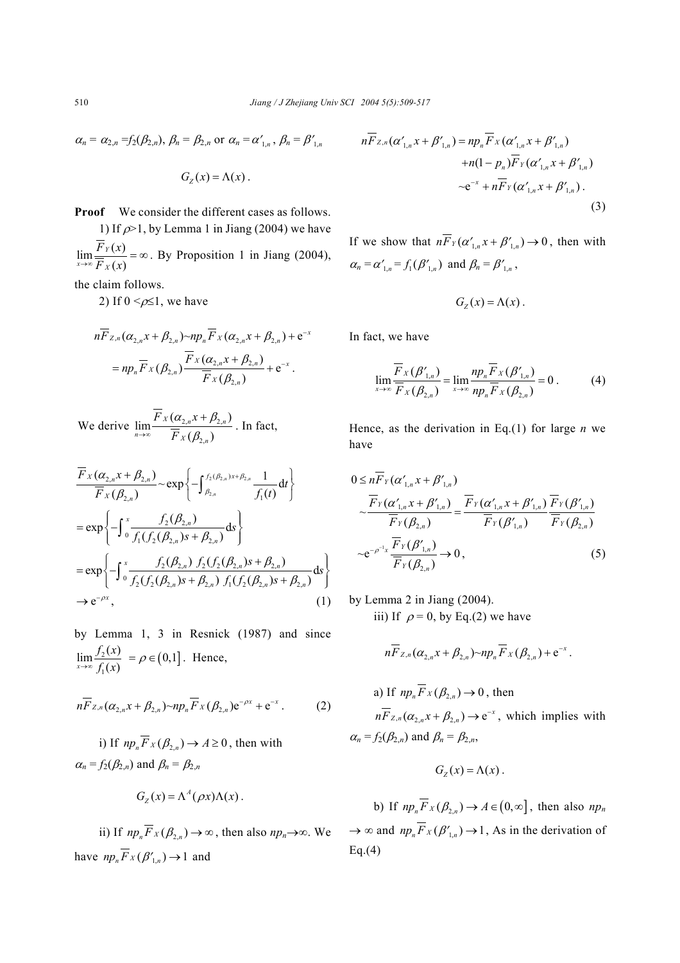$$
\alpha_n = \alpha_{2,n} = f_2(\beta_{2,n}), \beta_n = \beta_{2,n} \text{ or } \alpha_n = \alpha'_{1,n}, \beta_n = \beta'_{1,n}
$$

$$
G_{Z}(x)=\Lambda(x).
$$

**Proof** We consider the different cases as follows.

1) If  $\rho$ >1, by Lemma 1 in Jiang (2004) we have  $\lim \frac{F_Y(x)}{F_Y(x)}$  $(x)$ *Y*  $x \rightarrow \infty$   $F_X$  $\lim_{x \to \infty} \frac{F_Y(x)}{\overline{F}_X(x)} = \infty$ . By Proposition 1 in Jiang (2004),

the claim follows.

2) If  $0 \leq \rho \leq 1$ , we have

$$
n\overline{F}_{Z,n}(\alpha_{2,n}x+\beta_{2,n})\sim np_n\overline{F}_X(\alpha_{2,n}x+\beta_{2,n})+e^{-x}
$$
  
=  $np_n\overline{F}_X(\beta_{2,n})\frac{\overline{F}_X(\alpha_{2,n}x+\beta_{2,n})}{\overline{F}_X(\beta_{2,n})}+e^{-x}$ .

We derive  $\lim_{x \to 2} \frac{P_X(\alpha_{2,n} + P_{2,n})}{P_X(\alpha_{2,n} + P_{2,n})}$ 2,  $\lim_{n \to \infty} \frac{F_X(\alpha_{2,n} x + \beta_{2,n})}{\sigma_{\alpha_{2,n}}}$  $(\beta, )$  $X(\mathcal{U}_{2,n}^{\prime}X+\mathcal{P}_{2,n}^{\prime})$  $F_X(\beta_{2,n})$  $F_X(\alpha, x)$ *F*  $\alpha$ <sub>n</sub>x +  $\beta$ <sub>2</sub>  $\rightarrow \infty$   $F_X(\beta,$ + . In fact,

$$
\frac{\overline{F}_X(\alpha_{2,n}x + \beta_{2,n})}{\overline{F}_X(\beta_{2,n})} \sim \exp\left\{-\int_{\beta_{2,n}}^{f_2(\beta_{2,n})x + \beta_{2,n}} \frac{1}{f_1(t)} dt\right\}
$$
\n
$$
= \exp\left\{-\int_0^x \frac{f_2(\beta_{2,n})}{f_1(f_2(\beta_{2,n})s + \beta_{2,n})} ds\right\}
$$
\n
$$
= \exp\left\{-\int_0^x \frac{f_2(\beta_{2,n}) f_2(f_2(\beta_{2,n})s + \beta_{2,n})}{f_2(f_2(\beta_{2,n})s + \beta_{2,n}) f_1(f_2(\beta_{2,n})s + \beta_{2,n})} ds\right\}
$$
\n
$$
\to e^{-\rho x}, \qquad (1)
$$

by Lemma 1, 3 in Resnick (1987) and since 2 1  $\lim \frac{f_2(x)}{x}$  $\overline{x \rightarrow \infty} f_1(x)$ *f x*  $\lim_{x \to \infty} \frac{f_2(x)}{f_1(x)} = \rho \in (0,1]$ . Hence,

$$
n\overline{F}_{Z,n}(\alpha_{2,n}x+\beta_{2,n})\sim np_n\overline{F}_X(\beta_{2,n})e^{-\rho x}+e^{-x}. \qquad (2)
$$

i) If  $np_n \overline{F}_X(\beta_{2n}) \to A \ge 0$ , then with  $\alpha_n = f_2(\beta_{2n})$  and  $\beta_n = \beta_{2n}$ 

$$
G_Z(x) = \Lambda^A(\rho x) \Lambda(x) .
$$

ii) If  $np_x \overline{F}_X(\beta, \cdot) \to \infty$ , then also  $np_n \to \infty$ . We have  $np_n \overline{F}_X(\beta'_{1n}) \to 1$  and

$$
nF_{Z,n}(\alpha'_{1,n}x + \beta'_{1,n}) = np_n F_X(\alpha'_{1,n}x + \beta'_{1,n})
$$
  
+ 
$$
n(1 - p_n)\overline{F}_Y(\alpha'_{1,n}x + \beta'_{1,n})
$$
  

$$
\sim e^{-x} + n\overline{F}_Y(\alpha'_{1,n}x + \beta'_{1,n}).
$$
  
(3)

If we show that  $n\overline{F}_Y(\alpha'_{1,n}x + \beta'_{1,n}) \to 0$ , then with  $\alpha_n = \alpha'_{n} = f_1(\beta'_{n})$  and  $\beta_n = \beta'_{n}$ ,

$$
G_{Z}(x)=\Lambda(x).
$$

In fact, we have

$$
\lim_{x \to \infty} \frac{\overline{F}_X(\beta'_{1,n})}{\overline{F}_X(\beta_{2,n})} = \lim_{x \to \infty} \frac{np_n \overline{F}_X(\beta'_{1,n})}{np_n \overline{F}_X(\beta_{2,n})} = 0.
$$
 (4)

Hence, as the derivation in Eq.(1) for large *n* we have

$$
0 \leq n F_Y(\alpha'_{1,n} x + \beta'_{1,n})
$$
  
\n
$$
\frac{\overline{F}_Y(\alpha'_{1,n} x + \beta'_{1,n})}{\overline{F}_Y(\beta_{2,n})} = \frac{\overline{F}_Y(\alpha'_{1,n} x + \beta'_{1,n})}{\overline{F}_Y(\beta'_{1,n})} \frac{\overline{F}_Y(\beta'_{1,n})}{\overline{F}_Y(\beta_{2,n})}
$$
  
\n
$$
\sim e^{-\rho^{-1}x} \frac{\overline{F}_Y(\beta'_{1,n})}{\overline{F}_Y(\beta_{2,n})} \to 0,
$$
\n(5)

by Lemma 2 in Jiang (2004). iii) If  $\rho = 0$ , by Eq.(2) we have

$$
n\overline{F}_{Z,n}(\alpha_{2,n}x+\beta_{2,n})\sim np_n\overline{F}_X(\beta_{2,n})+e^{-x}.
$$

a) If 
$$
np_n F_X(\beta_{2,n}) \to 0
$$
, then  
\n $n\overline{F}_{Z,n}(\alpha_{2,n}x + \beta_{2,n}) \to e^{-x}$ , which implies with  
\n $\alpha_n = f_2(\beta_{2,n})$  and  $\beta_n = \beta_{2,n}$ ,

$$
G_{Z}(x)=\Lambda(x).
$$

b) If  $np_n \overline{F}_X(\beta_n) \to A \in (0, \infty]$ , then also  $np_n$  $\rightarrow \infty$  and  $np_n \overline{F}_X(\beta'_{1,n}) \rightarrow 1$ , As in the derivation of  $Eq.(4)$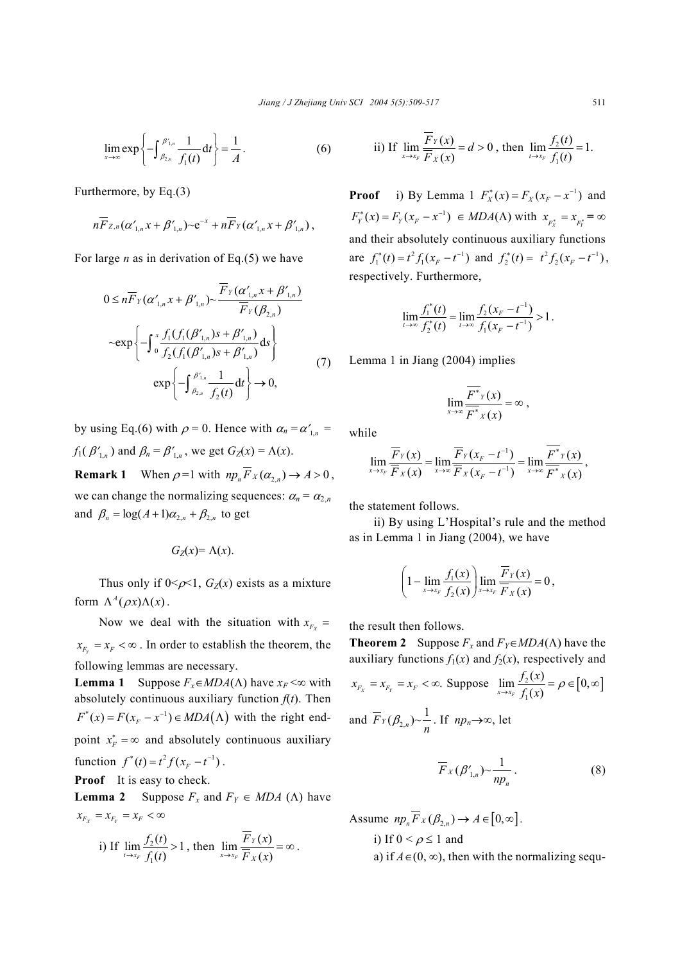$$
\lim_{x \to \infty} \exp \left\{-\int_{\beta_{2,n}}^{\beta'_{1,n}} \frac{1}{f_1(t)} \, \mathrm{d}t\right\} = \frac{1}{A} \,. \tag{6}
$$

Furthermore, by Eq.(3)

$$
n\overline{F}_{Z,n}(\alpha'_{1,n}x+\beta'_{1,n})\negthinspace\negthinspace\sim\negthinspace\mathbf{e}^{-x}+n\overline{F}_{Y}(\alpha'_{1,n}x+\beta'_{1,n}),
$$

For large *n* as in derivation of Eq.(5) we have

$$
0 \leq n \overline{F}_Y(\alpha'_{1,n} x + \beta'_{1,n}) \sim \frac{\overline{F}_Y(\alpha'_{1,n} x + \beta'_{1,n})}{\overline{F}_Y(\beta_{2,n})}
$$

$$
\sim \exp\left\{-\int_0^x \frac{f_1(f_1(\beta'_{1,n}) s + \beta'_{1,n})}{f_2(f_1(\beta'_{1,n}) s + \beta'_{1,n})} ds\right\}
$$

$$
\exp\left\{-\int_{\beta_{2,n}}^{\beta'_{1,n}} \frac{1}{f_2(t)} dt\right\} \to 0,
$$
 (7)

by using Eq.(6) with  $\rho = 0$ . Hence with  $\alpha_n = \alpha'_{1,n} =$  $f_1(\beta'_{1,n})$  and  $\beta_n = \beta'_{1,n}$ , we get  $G_Z(x) = \Lambda(x)$ .

**Remark 1** When  $\rho = 1$  with  $np \cdot \overline{F}_X(\alpha, \cdot) \to A > 0$ , we can change the normalizing sequences:  $\alpha_n = \alpha_{2,n}$ and  $\beta_n = \log(A+1)\alpha_{2,n} + \beta_{2,n}$  to get

$$
G_Z(x) = \Lambda(x).
$$

Thus only if  $0 \le \rho \le 1$ ,  $G_Z(x)$  exists as a mixture form  $\Lambda^A(\rho x) \Lambda(x)$ .

Now we deal with the situation with  $x_{F_X}$  =  $x_{F_v} = x_F < \infty$ . In order to establish the theorem, the following lemmas are necessary.

**Lemma 1** Suppose  $F_r \in MDA(\Lambda)$  have  $x_F < \infty$  with absolutely continuous auxiliary function  $f(t)$ . Then  $F^*(x) = F(x_F - x^{-1}) \in MDA(\Lambda)$  with the right endpoint  $x_F^* = \infty$  and absolutely continuous auxiliary function  $f^*(t) = t^2 f(x - t^{-1})$ .

**Proof** It is easy to check.

**Lemma 2** Suppose  $F_x$  and  $F_y \in MDA$  ( $\Lambda$ ) have  $x_{F_Y} = x_{F_Y} = x_F < \infty$ 

i) If 
$$
\lim_{t \to x_F} \frac{f_2(t)}{f_1(t)} > 1
$$
, then  $\lim_{x \to x_F} \frac{\overline{F}_Y(x)}{\overline{F}_X(x)} = \infty$ .

ii) If 
$$
\lim_{x \to x_F} \frac{\overline{F}_Y(x)}{\overline{F}_X(x)} = d > 0
$$
, then  $\lim_{t \to x_F} \frac{f_2(t)}{f_1(t)} = 1$ .

**Proof** i) By Lemma 1  $F_X^*(x) = F_X(x_F - x^{-1})$  and  $F_Y^*(x) = F_Y(x_F - x^{-1}) \in MDA(\Lambda)$  with  $x_{F_X^*} = x_{F_Y^*} = \infty$ and their absolutely continuous auxiliary functions are  $f_1^*(t) = t^2 f_1(x_F - t^{-1})$  and  $f_2^*(t) = t^2 f_2(x_F - t^{-1})$ , respectively. Furthermore,

$$
\lim_{t \to \infty} \frac{f_1^*(t)}{f_2^*(t)} = \lim_{t \to \infty} \frac{f_2(x_F - t^{-1})}{f_1(x_F - t^{-1})} > 1.
$$

Lemma 1 in Jiang (2004) implies

$$
\lim_{x\to\infty}\frac{\overline{F^*}_Y(x)}{\overline{F^*}_X(x)}=\infty,
$$

while

$$
\lim_{x\to x_F}\frac{\overline{F}_Y(x)}{\overline{F}_X(x)}=\lim_{x\to\infty}\frac{\overline{F}_Y(x_F-t^{-1})}{\overline{F}_X(x_F-t^{-1})}=\lim_{x\to\infty}\frac{\overline{F}^*_{Y}(x)}{\overline{F}^*_{X}(x)},
$$

the statement follows.

ii) By using L'Hospital's rule and the method as in Lemma 1 in Jiang (2004), we have

$$
\left(1-\lim_{x\to x_F}\frac{f_1(x)}{f_2(x)}\right)\lim_{x\to x_F}\frac{\overline{F}_Y(x)}{\overline{F}_X(x)}=0,
$$

the result then follows.

**Theorem 2** Suppose  $F_x$  and  $F_y \in MDA(\Lambda)$  have the auxiliary functions  $f_1(x)$  and  $f_2(x)$ , respectively and

$$
x_{F_x} = x_{F_y} = x_F < \infty. \text{ Suppose } \lim_{x \to x_F} \frac{f_2(x)}{f_1(x)} = \rho \in [0, \infty]
$$
\n
$$
\text{and } \overline{F}_Y(\beta_{2,n}) \sim \frac{1}{n}. \text{ If } np_n \to \infty, \text{ let}
$$

$$
\overline{F}_X(\beta'_{1,n}) \sim \frac{1}{np_n} \,. \tag{8}
$$

Assume  $np_n \overline{F}_X(\beta_{2n}) \to A \in [0, \infty]$ . i) If  $0 < \rho \le 1$  and a) if  $A \in (0, \infty)$ , then with the normalizing sequ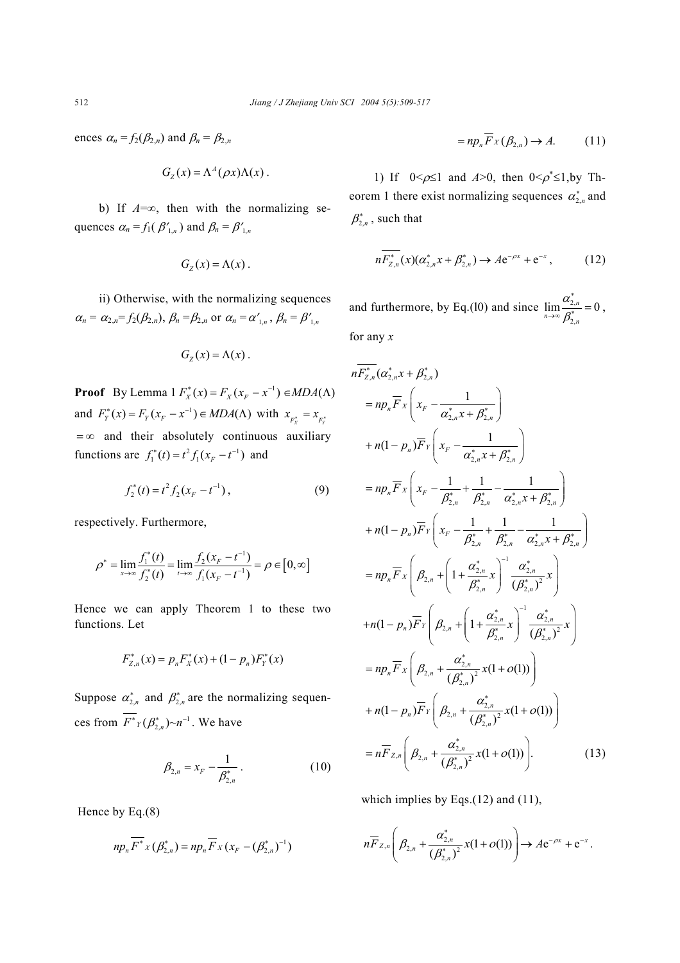ences  $\alpha_n = f_2(\beta_{2,n})$  and  $\beta_n = \beta_{2,n}$ 

$$
G_Z(x) = \Lambda^A(\rho x) \Lambda(x) .
$$

b) If *A*=∞, then with the normalizing sequences  $\alpha_n = f_1(\beta'_{1,n})$  and  $\beta_n = \beta'_{1,n}$ 

$$
G_{Z}(x)=\Lambda(x).
$$

ii) Otherwise, with the normalizing sequences  $\alpha_n = \alpha_{2,n} = f_2(\beta_{2,n}), \ \beta_n = \beta_{2,n}$  or  $\alpha_n = \alpha'_{1,n}, \ \beta_n = \beta'_{1,n}$ 

$$
G_{Z}(x)=\Lambda(x).
$$

**Proof** By Lemma  $1 F_X^*(x) = F_X^*(x_F - x^{-1}) \in MDA(\Lambda)$ and  $F_Y^*(x) = F_Y(x_F - x^{-1}) \in MDA(\Lambda)$  with  $x_{F_X^*} = x_{F_Y^*}$  $=\infty$  and their absolutely continuous auxiliary functions are  $f_1^*(t) = t^2 f_1(x_F - t^{-1})$  and

$$
f_2^*(t) = t^2 f_2(x_F - t^{-1}),
$$
\n(9)

respectively. Furthermore,

$$
\rho^* = \lim_{x \to \infty} \frac{f_1^*(t)}{f_2^*(t)} = \lim_{t \to \infty} \frac{f_2(x_F - t^{-1})}{f_1(x_F - t^{-1})} = \rho \in [0, \infty]
$$

Hence we can apply Theorem 1 to these two functions. Let

$$
F_{Z,n}^*(x) = p_n F_X^*(x) + (1 - p_n) F_Y^*(x)
$$

Suppose  $\alpha_{2,n}^*$  and  $\beta_{2,n}^*$  are the normalizing sequences from  $F^*Y(\beta_{2,n}^*)\sim n^{-1}$ . We have

$$
\beta_{2,n} = x_F - \frac{1}{\beta_{2,n}^*} \,. \tag{10}
$$

Hence by Eq.(8)

$$
np_n \overline{F^*}_{X}(\beta^*_{2,n}) = np_n \overline{F}_{X}(x_F - (\beta^*_{2,n})^{-1})
$$

$$
= np_n \overline{F}_X(\beta_{2,n}) \to A. \tag{11}
$$

1) If  $0 \le \rho \le 1$  and  $A > 0$ , then  $0 \le \rho^* \le 1$ , by Theorem 1 there exist normalizing sequences  $\alpha_{2,n}^*$  and  $\beta^*_{2,n}$ , such that

$$
n\overline{F_{Z,n}^*}(x)(\alpha_{2,n}^*x+\beta_{2,n}^*) \to A e^{-\rho x}+e^{-x}, \qquad (12)
$$

and furthermore, by Eq.(10) and since  $\lim_{n \to \infty} \frac{\omega_{2n}}{n}$ 2,  $\lim_{n \to \infty} \frac{\mu_{2,n}}{n} = 0$  $n\rightarrow \infty$   $\beta^*_{2,n}$ α  $\beta$ ∗  $\lim_{n \to \infty} \frac{\infty_{2,n}}{B_n^*} = 0,$ for any *x*

$$
nF_{Z,n}^{*}(\alpha_{2,n}^{*}x + \beta_{2,n}^{*})
$$
  
\n
$$
= np_{n}\overline{F}_{X}\left(x_{F} - \frac{1}{\alpha_{2,n}^{*}x + \beta_{2,n}^{*}}\right)
$$
  
\n
$$
+ n(1-p_{n})\overline{F}_{Y}\left(x_{F} - \frac{1}{\alpha_{2,n}^{*}x + \beta_{2,n}^{*}}\right)
$$
  
\n
$$
= np_{n}\overline{F}_{X}\left(x_{F} - \frac{1}{\beta_{2,n}^{*}} + \frac{1}{\beta_{2,n}^{*}} - \frac{1}{\alpha_{2,n}^{*}x + \beta_{2,n}^{*}}\right)
$$
  
\n
$$
+ n(1-p_{n})\overline{F}_{Y}\left(x_{F} - \frac{1}{\beta_{2,n}^{*}} + \frac{1}{\beta_{2,n}^{*}} - \frac{1}{\alpha_{2,n}^{*}x + \beta_{2,n}^{*}}\right)
$$
  
\n
$$
= np_{n}\overline{F}_{X}\left(\beta_{2,n} + \left(1 + \frac{\alpha_{2,n}^{*}}{\beta_{2,n}^{*}}x\right)^{-1} \frac{\alpha_{2,n}^{*}}{(\beta_{2,n}^{*})^{2}}x\right)
$$
  
\n
$$
+ n(1-p_{n})\overline{F}_{Y}\left(\beta_{2,n} + \left(1 + \frac{\alpha_{2,n}^{*}}{\beta_{2,n}^{*}}x\right)^{-1} \frac{\alpha_{2,n}^{*}}{(\beta_{2,n}^{*})^{2}}x\right)
$$
  
\n
$$
= np_{n}\overline{F}_{X}\left(\beta_{2,n} + \frac{\alpha_{2,n}^{*}}{(\beta_{2,n}^{*})^{2}}x(1+o(1))\right)
$$
  
\n
$$
+ n(1-p_{n})\overline{F}_{Y}\left(\beta_{2,n} + \frac{\alpha_{2,n}^{*}}{(\beta_{2,n}^{*})^{2}}x(1+o(1))\right)
$$
  
\n
$$
= n\overline{F}_{Z,n}\left(\beta_{2,n} + \frac{\alpha_{2,n}^{*}}{(\beta_{2,n}^{*})^{2}}x(1+o(1))\right).
$$
 (13)

which implies by Eqs. $(12)$  and  $(11)$ ,

$$
n \overline{F}_{Z,n}\left(\beta_{2,n} + \frac{\alpha_{2,n}^*}{(\beta_{2,n}^*)^2} x(1+o(1))\right) \to A e^{-\rho x} + e^{-x}.
$$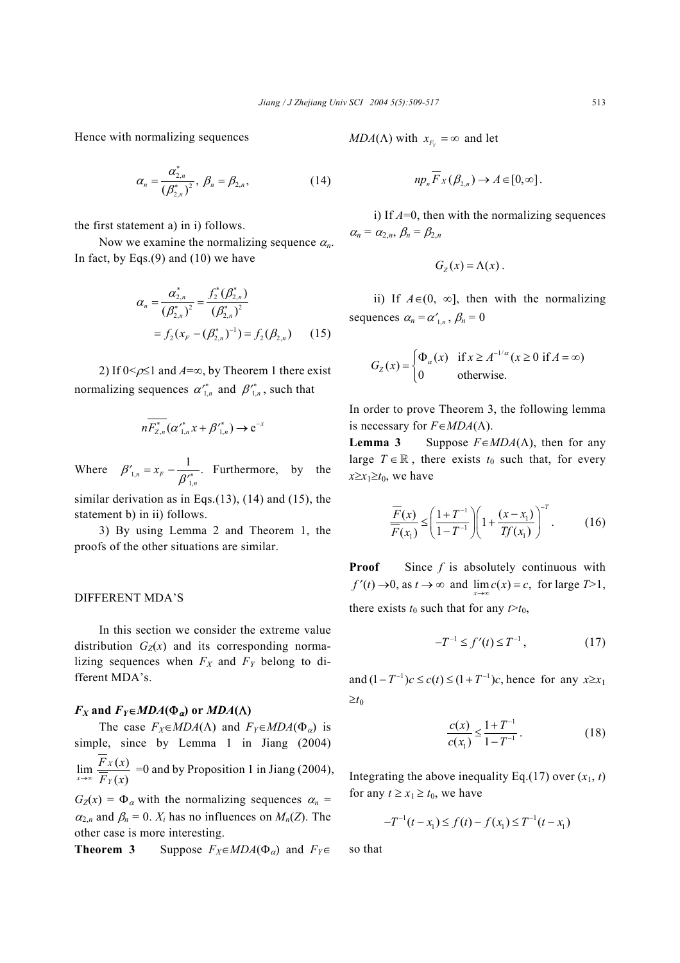Hence with normalizing sequences

$$
\alpha_n = \frac{\alpha_{2,n}^*}{(\beta_{2,n}^*)^2}, \ \beta_n = \beta_{2,n}, \tag{14}
$$

the first statement a) in i) follows.

Now we examine the normalizing sequence  $\alpha_n$ . In fact, by Eqs. $(9)$  and  $(10)$  we have

$$
\alpha_n = \frac{\alpha_{2,n}^*}{(\beta_{2,n}^*)^2} = \frac{f_2^*(\beta_{2,n}^*)}{(\beta_{2,n}^*)^2}
$$

$$
= f_2(x_F - (\beta_{2,n}^*)^{-1}) = f_2(\beta_{2,n}) \qquad (15)
$$

2) If  $0 \le \rho \le 1$  and  $A = \infty$ , by Theorem 1 there exist normalizing sequences  $\alpha'^{*}_{1,n}$  and  $\beta'^{*}_{1,n}$ , such that

$$
n\overline{F_{Z,n}^{*}}(\alpha'_{1,n}^{*}x+\beta'_{1,n}^{*})\to e^{-x}
$$

Where  $\beta'_{1}$ , 1,  $x_{\rm r} = x_{\rm F} - \frac{1}{\alpha'}$ *n*  $\beta'_{1n} = x$  $=x_F - \frac{1}{\beta_{1n}^{*}}$ . Furthermore, by the

similar derivation as in Eqs. $(13)$ ,  $(14)$  and  $(15)$ , the statement b) in ii) follows.

3) By using Lemma 2 and Theorem 1, the proofs of the other situations are similar.

# DIFFERENT MDA'S

In this section we consider the extreme value distribution  $G_Z(x)$  and its corresponding normalizing sequences when  $F_X$  and  $F_Y$  belong to different MDA's.

## $F_X$  and  $F_Y \in MDA(\Phi_\alpha)$  or  $MDA(\Lambda)$

The case  $F_X \in MDA(\Lambda)$  and  $F_Y \in MDA(\Phi_\alpha)$  is simple, since by Lemma 1 in Jiang (2004)  $\lim_{x\to\infty}\frac{F_X(x)}{\overline{F}_Y(x)}$  $(x)$ *X Y*  $\frac{F_X(x)}{F_Y(x)}$  =0 and by Proposition 1 in Jiang (2004),  $G_Z(x) = \Phi_\alpha$  with the normalizing sequences  $\alpha_n =$ 

 $\alpha_{2,n}$  and  $\beta_n = 0$ .  $X_i$  has no influences on  $M_n(Z)$ . The other case is more interesting.

**Theorem 3** Suppose  $F_X \in MDA(\Phi_\alpha)$  and  $F_Y \in$ 

*MDA*( $\Lambda$ ) with  $x_{F_Y} = \infty$  and let

$$
np_n \overline{F}_X(\beta_{2,n}) \to A \in [0,\infty].
$$

i) If *A*=0, then with the normalizing sequences  $\alpha_n = \alpha_{2,n}, \beta_n = \beta_{2,n}$ 

$$
G_{Z}(x)=\Lambda(x).
$$

ii) If  $A \in (0, ∞]$ , then with the normalizing sequences  $\alpha_n = \alpha'_{n}$ ,  $\beta_n = 0$ 

$$
G_Z(x) = \begin{cases} \Phi_{\alpha}(x) & \text{if } x \ge A^{-1/\alpha} (x \ge 0 \text{ if } A = \infty) \\ 0 & \text{otherwise.} \end{cases}
$$

In order to prove Theorem 3, the following lemma is necessary for  $F \in MDA(\Lambda)$ .

**Lemma 3** Suppose  $F \in MDA(\Lambda)$ , then for any large  $T \in \mathbb{R}$ , there exists  $t_0$  such that, for every  $x \geq x_1 \geq t_0$ , we have

$$
\frac{\overline{F}(x)}{\overline{F}(x_1)} \le \left(\frac{1+T^{-1}}{1-T^{-1}}\right) \left(1+\frac{(x-x_1)}{Tf(x_1)}\right)^{-T}.
$$
 (16)

**Proof** Since *f* is absolutely continuous with  $f'(t) \to 0$ , as  $t \to \infty$  and  $\lim_{x \to \infty} c(x) = c$ , for large  $T>1$ , there exists  $t_0$  such that for any  $t > t_0$ ,

$$
-T^{-1} \le f'(t) \le T^{-1},\tag{17}
$$

and  $(1 - T^{-1})c \leq c(t) \leq (1 + T^{-1})c$ , hence for any  $x \geq x_1$  $\geq t_0$ 

$$
\frac{c(x)}{c(x_1)} \le \frac{1 + T^{-1}}{1 - T^{-1}}.
$$
 (18)

Integrating the above inequality Eq.(17) over  $(x_1, t)$ for any  $t \ge x_1 \ge t_0$ , we have

$$
-T^{-1}(t-x_1) \le f(t) - f(x_1) \le T^{-1}(t-x_1)
$$

so that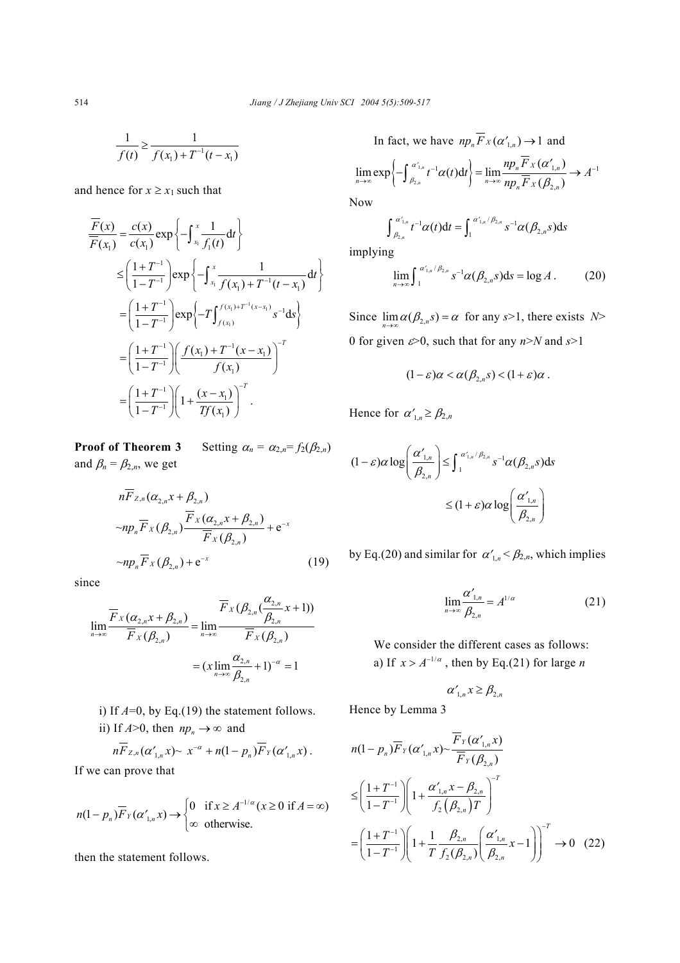$$
\frac{1}{f(t)} \ge \frac{1}{f(x_1) + T^{-1}(t - x_1)}
$$

and hence for  $x \ge x_1$  such that

$$
\frac{\overline{F}(x)}{\overline{F}(x_1)} = \frac{c(x)}{c(x_1)} \exp\left\{-\int_{x_1}^{x_1} \frac{1}{f_1(t)} dt\right\}
$$
\n
$$
\leq \left(\frac{1+T^{-1}}{1-T^{-1}}\right) \exp\left\{-\int_{x_1}^{x_1} \frac{1}{f(x_1)+T^{-1}(t-x_1)} dt\right\}
$$
\n
$$
= \left(\frac{1+T^{-1}}{1-T^{-1}}\right) \exp\left\{-T\int_{f(x_1)}^{f(x_1)+T^{-1}(x-x_1)} s^{-1} ds\right\}
$$
\n
$$
= \left(\frac{1+T^{-1}}{1-T^{-1}}\right) \left(\frac{f(x_1)+T^{-1}(x-x_1)}{f(x_1)}\right)^{-T}
$$
\n
$$
= \left(\frac{1+T^{-1}}{1-T^{-1}}\right) \left(1+\frac{(x-x_1)}{Tf(x_1)}\right)^{-T}.
$$

**Proof of Theorem 3** Setting  $\alpha_n = \alpha_{2,n} = f_2(\beta_{2,n})$ and  $\beta_n = \beta_{2,n}$ , we get

$$
n\overline{F}_{z,n}(\alpha_{2,n}x + \beta_{2,n})
$$
  
\n
$$
\sim np_n \overline{F}_X(\beta_{2,n}) \frac{\overline{F}_X(\alpha_{2,n}x + \beta_{2,n})}{\overline{F}_X(\beta_{2,n})} + e^{-x}
$$
  
\n
$$
\sim np_n \overline{F}_X(\beta_{2,n}) + e^{-x}
$$
\n(19)

since

$$
\lim_{n\to\infty} \frac{\overline{F}_X(\alpha_{2,n}x + \beta_{2,n})}{\overline{F}_X(\beta_{2,n})} = \lim_{n\to\infty} \frac{\overline{F}_X(\beta_{2,n}(\frac{\alpha_{2,n}}{\beta_{2,n}}x + 1))}{\overline{F}_X(\beta_{2,n})}
$$

$$
= (x \lim_{n\to\infty} \frac{\alpha_{2,n}}{\beta_{2,n}} + 1)^{-\alpha} = 1
$$

- i) If  $A=0$ , by Eq.(19) the statement follows.
- ii) If  $A > 0$ , then  $np_n \to \infty$  and

$$
n\overline{F}_{Z,n}(\alpha'_{1,n}x)\sim x^{-\alpha}+n(1-p_n)\overline{F}_Y(\alpha'_{1,n}x).
$$

If we can prove that

$$
n(1-p_n)\overline{F}_Y(\alpha'_{1,n}x) \to \begin{cases} 0 & \text{if } x \ge A^{-1/\alpha}(x \ge 0 \text{ if } A = \infty) \\ \infty & \text{otherwise.} \end{cases}
$$

then the statement follows.

In fact, we have 
$$
np_n \overline{F}_X(\alpha'_{1,n}) \to 1
$$
 and  
\n
$$
\lim_{n \to \infty} \exp \left\{-\int_{\beta_{2,n}}^{\alpha'_{1,n}} t^{-1} \alpha(t) dt\right\} = \lim_{n \to \infty} \frac{np_n \overline{F}_X(\alpha'_{1,n})}{np_n \overline{F}_X(\beta_{2,n})} \to A^{-1}
$$

Now

$$
\int_{\beta_{2,n}}^{\alpha'_{1,n}} t^{-1} \alpha(t) dt = \int_{1}^{\alpha'_{1,n}/\beta_{2,n}} s^{-1} \alpha(\beta_{2,n} s) ds
$$

implying

$$
\lim_{n\to\infty}\int_{1}^{\alpha'_{1,n}/\beta_{2,n}}s^{-1}\alpha(\beta_{2,n}s)ds=\log A.
$$
 (20)

Since  $\lim_{n\to\infty} \alpha(\beta_{2,n} s) = \alpha$  for any *s*>1, there exists *N*> 0 for given ε>0, such that for any *n*>*N* and *s*>1

$$
(1-\varepsilon)\alpha < \alpha(\beta_{2,n}s) < (1+\varepsilon)\alpha.
$$

Hence for  $\alpha'_{1,n} \geq \beta_{2,n}$ 

$$
(1 - \varepsilon)\alpha \log \left(\frac{\alpha'_{1,n}}{\beta_{2,n}}\right) \le \int_1^{\alpha'_{1,n}/\beta_{2,n}} s^{-1}\alpha(\beta_{2,n}s)ds
$$
  

$$
\le (1 + \varepsilon)\alpha \log \left(\frac{\alpha'_{1,n}}{\beta_{2,n}}\right)
$$

by Eq.(20) and similar for  $\alpha'_{1,n} < \beta_{2,n}$ , which implies

$$
\lim_{n \to \infty} \frac{\alpha'_{1,n}}{\beta_{2,n}} = A^{1/\alpha} \tag{21}
$$

We consider the different cases as follows: a) If  $x > A^{-1/\alpha}$ , then by Eq.(21) for large *n* 

$$
\alpha'_{1,n} x \geq \beta_{2,n}
$$

Hence by Lemma 3

$$
n(1 - p_n)\overline{F}_Y(\alpha'_{1,n}x) \sim \frac{\overline{F}_Y(\alpha'_{1,n}x)}{\overline{F}_Y(\beta_{2,n})}
$$
  
\n
$$
\leq \left(\frac{1 + T^{-1}}{1 - T^{-1}}\right) \left(1 + \frac{\alpha'_{1,n}x - \beta_{2,n}}{f_2(\beta_{2,n})T}\right)^{-T}
$$
  
\n
$$
= \left(\frac{1 + T^{-1}}{1 - T^{-1}}\right) \left(1 + \frac{1}{T} \frac{\beta_{2,n}}{f_2(\beta_{2,n})}\left(\frac{\alpha'_{1,n}}{\beta_{2,n}}x - 1\right)\right)^{-T} \to 0 \quad (22)
$$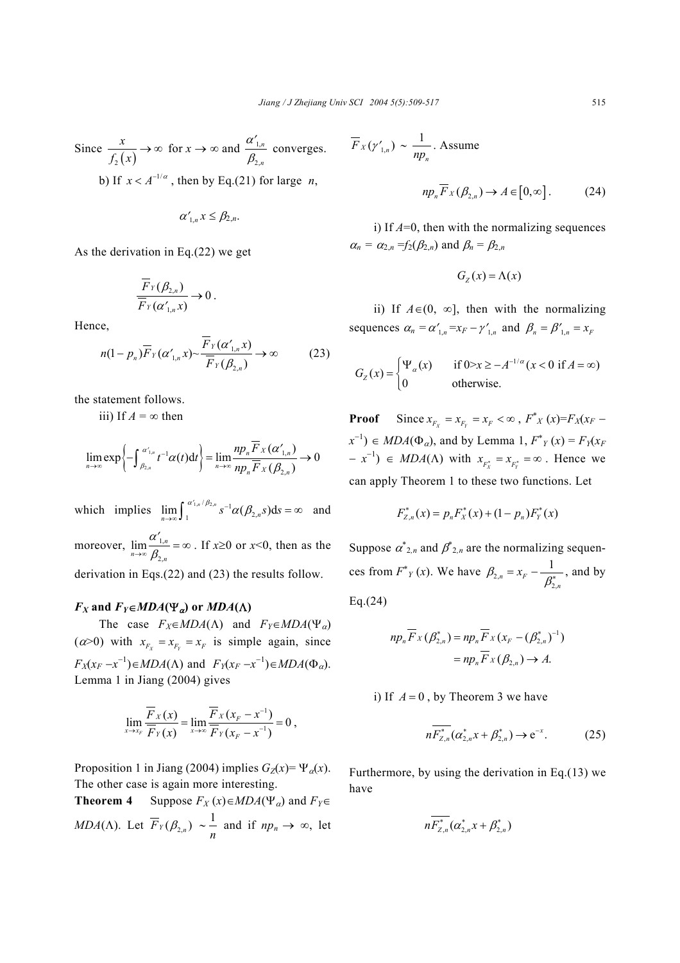Since  $\int_2^1(x)$ *x f x*  $\rightarrow \infty$  for  $x \rightarrow \infty$  and  $\frac{a_{1}}{2}$ 2, *n n*  $\frac{\alpha'_{1,n}}{\beta_{2,n}}$  converges.

b) If  $x < A^{-1/\alpha}$ , then by Eq.(21) for large *n*,

$$
\alpha'_{1,n}x \leq \beta_{2,n}.
$$

As the derivation in Eq.(22) we get

$$
\frac{\overline{F}_Y(\beta_{2,n})}{\overline{F}_Y(\alpha'_{1,n}x)} \to 0.
$$

Hence,

$$
n(1-p_n)\overline{F}_Y(\alpha'_{1,n}x) \sim \frac{F_Y(\alpha'_{1,n}x)}{\overline{F}_Y(\beta_{2,n})} \to \infty
$$
 (23)

the statement follows.

iii) If  $A = \infty$  then

$$
\lim_{n\to\infty}\exp\left\{-\int_{\beta_{2,n}}^{\alpha'_{1,n}}t^{-1}\alpha(t)\mathrm{d}t\right\}=\lim_{n\to\infty}\frac{np_{n}\overline{F}_{X}(\alpha'_{1,n})}{np_{n}\overline{F}_{X}(\beta_{2,n})}\to 0
$$

which implies  $\lim_{n\to\infty} \int_1^{\alpha'_{1,n}/\beta_{2,n}} s^{-1} \alpha(\beta_{2,n} s) ds = \infty$  and moreover,  $\lim_{n \to \infty} \frac{\alpha_1}{2}$ 2,  $\lim_{n \to \infty} \frac{\alpha}{2}$  $n\rightarrow\infty$   $\beta_{2,n}$  $\lim_{x \to \infty} \frac{\alpha'_{1,n}}{\beta_{2,n}} = \infty$ . If  $x \ge 0$  or  $x \le 0$ , then as the derivation in Eqs.(22) and (23) the results follow.

# $F_X$  and  $F_Y \in MDA(\Psi_\alpha)$  or  $MDA(\Lambda)$

The case  $F_X \in MDA(\Lambda)$  and  $F_Y \in MDA(\Psi_\alpha)$  $(\alpha > 0)$  with  $x_{F_x} = x_{F_y} = x_F$  is simple again, since  $F_X(x_F - x^{-1}) \in MDA(\Lambda)$  and  $F_Y(x_F - x^{-1}) \in MDA(\Phi_\alpha)$ . Lemma 1 in Jiang (2004) gives

$$
\lim_{x\to x_F} \frac{\overline{F}_X(x)}{\overline{F}_Y(x)} = \lim_{x\to\infty} \frac{\overline{F}_X(x_F - x^{-1})}{\overline{F}_Y(x_F - x^{-1})} = 0,
$$

Proposition 1 in Jiang (2004) implies  $G_Z(x) = \Psi_{\alpha}(x)$ . The other case is again more interesting.

**Theorem 4** Suppose  $F_X(x) \in MDA(\Psi_\alpha)$  and  $F_Y \in$ *MDA*( $\Lambda$ ). Let  $\overline{F}_Y(\beta_{2,n}) \sim \frac{1}{n}$  and if  $np_n \to \infty$ , let

$$
\overline{F}_X(\gamma'_{1,n}) \sim \frac{1}{np_n}.
$$
 Assume

$$
np_n \overline{F}_X(\beta_{2,n}) \to A \in [0,\infty]. \tag{24}
$$

i) If *A*=0, then with the normalizing sequences  $\alpha_n = \alpha_{2n} = f_2(\beta_{2n})$  and  $\beta_n = \beta_{2n}$ 

$$
G_{Z}(x) = \Lambda(x)
$$

ii) If  $A \in (0, ∞]$ , then with the normalizing sequences  $\alpha_n = \alpha'_{1,n} = x_F - \gamma'_{1,n}$  and  $\beta_n = \beta'_{1,n} = x_F$ 

$$
G_Z(x) = \begin{cases} \Psi_\alpha(x) & \text{if } 0 > x \ge -A^{-1/\alpha} \text{ (}x < 0 \text{ if } A = \infty \text{)} \\ 0 & \text{otherwise.} \end{cases}
$$

**Proof** Since  $x_{F_X} = x_{F_Y} = x_F < \infty$ ,  $F^*_{X}(x) = F_X(x_F - x_F)$  $(x^{-1}) \in MDA(\Phi_{\alpha})$ , and by Lemma 1,  $F^*_{Y}(x) = F_Y(x)$  $(x - x^{-1}) \in MDA(\Lambda)$  with  $x_{F_X^*} = x_{F_Y^*} = \infty$ . Hence we can apply Theorem 1 to these two functions. Let

$$
F_{Z,n}^*(x) = p_n F_X^*(x) + (1 - p_n) F_Y^*(x)
$$

Suppose  $\alpha^*_{2,n}$  and  $\beta^*_{2,n}$  are the normalizing sequences from  $F^*_{Y}(x)$ . We have  $\beta_{2}$ , 2, 1  $n - \lambda_F$ *n*  $\beta_{2,n} = x_F - \frac{1}{\beta_{2,n}^*}$ , and by

Eq.(24)

$$
np_n \overline{F}_X(\beta_{2,n}^*) = np_n \overline{F}_X(x_F - (\beta_{2,n}^*)^{-1})
$$
  
= 
$$
np_n \overline{F}_X(\beta_{2,n}) \to A.
$$

i) If  $A = 0$ , by Theorem 3 we have

$$
n\overline{F_{Z,n}^*}(\alpha_{2,n}^*x + \beta_{2,n}^*) \to e^{-x}.
$$
 (25)

Furthermore, by using the derivation in Eq.(13) we have

$$
n\overline{F_{Z,n}^*}(\alpha_{2,n}^*x+\beta_{2,n}^*)
$$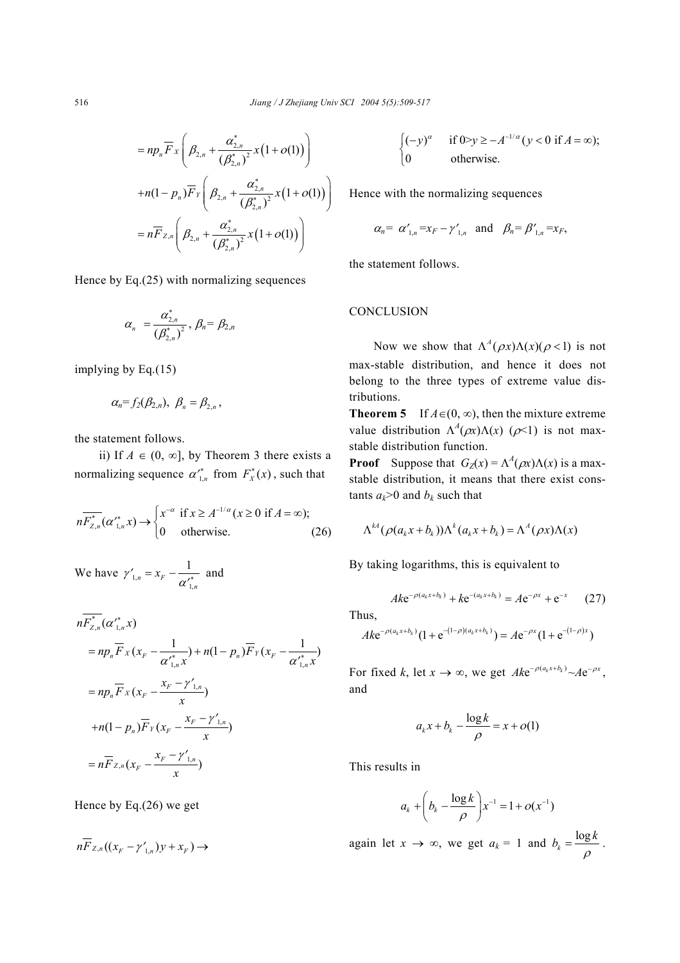$$
= np_{n} \overline{F}_{X} \left( \beta_{2,n} + \frac{\alpha_{2,n}^{*}}{(\beta_{2,n}^{*})^{2}} x(1+o(1)) \right)
$$
  
+
$$
n(1-p_{n}) \overline{F}_{Y} \left( \beta_{2,n} + \frac{\alpha_{2,n}^{*}}{(\beta_{2,n}^{*})^{2}} x(1+o(1)) \right)
$$
  
=
$$
n \overline{F}_{Z,n} \left( \beta_{2,n} + \frac{\alpha_{2,n}^{*}}{(\beta_{2,n}^{*})^{2}} x(1+o(1)) \right)
$$

Hence by Eq.(25) with normalizing sequences

$$
\alpha_n = \frac{\alpha_{2,n}^*}{(\beta_{2,n}^*)^2}, \beta_n = \beta_{2,n}
$$

implying by Eq.(15)

$$
\alpha_n = f_2(\beta_{2,n}), \ \beta_n = \beta_{2,n}
$$

the statement follows.

ii) If  $A \in (0, ∞]$ , by Theorem 3 there exists a normalizing sequence  $\alpha'^*_{1,n}$  from  $F^*_x(x)$ , such that

$$
n\overline{F_{Z,n}^*}(\alpha_{1,n}^*x) \to \begin{cases} x^{-\alpha} & \text{if } x \ge A^{-1/\alpha} \ (x \ge 0 \text{ if } A = \infty); \\ 0 & \text{otherwise.} \end{cases} \tag{26}
$$

We have  $\gamma'_{1}$ , 1, 1  $n - \lambda_F$ *n*  $\gamma'_{1,n} = x_F - \frac{1}{\alpha'_{1,n}}$  and

$$
n\overline{F}_{Z,n}^{*}(\alpha'_{1,n}^{*} x)
$$
  
=  $np_{n} \overline{F}_{X}(x_{F} - \frac{1}{\alpha'_{1,n}^{*} x}) + n(1 - p_{n}) \overline{F}_{Y}(x_{F} - \frac{1}{\alpha'_{1,n}^{*} x})$   
=  $np_{n} \overline{F}_{X}(x_{F} - \frac{x_{F} - \gamma'_{1,n}}{x})$   
+  $n(1 - p_{n}) \overline{F}_{Y}(x_{F} - \frac{x_{F} - \gamma'_{1,n}}{x})$   
=  $n\overline{F}_{Z,n}(x_{F} - \frac{x_{F} - \gamma'_{1,n}}{x})$ 

Hence by Eq.(26) we get

$$
n\overline{F}_{Z,n}((x_F-\gamma'_{1,n})y+x_F)\to
$$

$$
\begin{cases}\n(-y)^{\alpha} & \text{if } 0 > y \ge -A^{-1/\alpha} \text{ ( } y < 0 \text{ if } A = \infty \text{);} \\
0 & \text{otherwise.}\n\end{cases}
$$

Hence with the normalizing sequences

$$
\alpha_n = \alpha'_{1,n} = x_F - \gamma'_{1,n}
$$
 and  $\beta_n = \beta'_{1,n} = x_F$ ,

the statement follows.

## **CONCLUSION**

Now we show that  $\Lambda^A(\rho x) \Lambda(x) (\rho < 1)$  is not max-stable distribution, and hence it does not belong to the three types of extreme value distributions.

**Theorem 5** If  $A \in (0, \infty)$ , then the mixture extreme value distribution  $\Lambda^A(\rho x)\Lambda(x)$  ( $\rho$ <1) is not maxstable distribution function.

**Proof** Suppose that  $G_Z(x) = \Lambda^A(\rho x) \Lambda(x)$  is a maxstable distribution, it means that there exist constants  $a_k$ >0 and  $b_k$  such that

$$
\Lambda^{kA}(\rho(a_k x + b_k))\Lambda^k(a_k x + b_k) = \Lambda^A(\rho x)\Lambda(x)
$$

By taking logarithms, this is equivalent to

$$
A k e^{-\rho (a_k x + b_k)} + k e^{-(a_k x + b_k)} = A e^{-\rho x} + e^{-x}
$$
 (27)

Thus,

$$
Ak^{-\rho(a_kx+b_k)}(1+e^{-(1-\rho)(a_kx+b_k)})=Ae^{-\rho x}(1+e^{-(1-\rho)x})
$$

For fixed *k*, let  $x \to \infty$ , we get  $Ak^{-\rho(a_k x + b_k)} \sim Ae^{-\rho x}$ , and

$$
a_k x + b_k - \frac{\log k}{\rho} = x + o(1)
$$

This results in

$$
a_k + \left(b_k - \frac{\log k}{\rho}\right) x^{-1} = 1 + o(x^{-1})
$$

again let  $x \to \infty$ , we get  $a_k = 1$  and  $b_k = \frac{\log k}{\rho}$ .